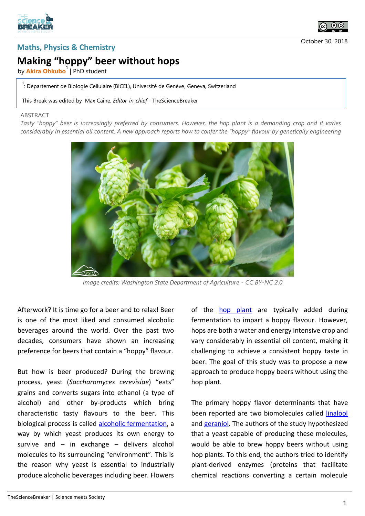



## **Making "hoppy" beer without hops**

by **Akira Ohkubo<sup>1</sup>** | PhD student

<sup>1</sup>: Département de Biologie Cellulaire (BICEL), Université de Genève, Geneva, Switzerland

This Break was edited by Max Caine, *Editor-in-chief* - TheScienceBreaker

## ABSTRACT

*Tasty "hoppy" beer is increasingly preferred by consumers. However, the hop plant is a demanding crop and it varies considerably in essential oil content. A new approach reports how to confer the "hoppy" flavour by genetically engineering* 



*Image credits: Washington State Department of Agriculture - CC BY-NC 2.0*

Afterwork? It is time go for a beer and to relax! Beer is one of the most liked and consumed alcoholic beverages around the world. Over the past two decades, consumers have shown an increasing preference for beers that contain a "hoppy" flavour.

But how is beer produced? During the brewing process, yeast (*Saccharomyces cerevisiae*) "eats" grains and converts sugars into ethanol (a type of alcohol) and other by-products which bring characteristic tasty flavours to the beer. This biological process is called [alcoholic fermentation,](https://en.wikipedia.org/wiki/Ethanol_fermentation) a way by which yeast produces its own energy to survive and  $-$  in exchange  $-$  delivers alcohol molecules to its surrounding "environment". This is the reason why yeast is essential to industrially produce alcoholic beverages including beer. Flowers

of the **[hop plant](https://en.wikipedia.org/wiki/Hops)** are typically added during fermentation to impart a hoppy flavour. However, hops are both a water and energy intensive crop and vary considerably in essential oil content, making it challenging to achieve a consistent hoppy taste in beer. The goal of this study was to propose a new approach to produce hoppy beers without using the hop plant.

The primary hoppy flavor determinants that have been reported are two biomolecules called [linalool](https://en.wikipedia.org/wiki/Linalool) and [geraniol.](https://en.wikipedia.org/wiki/Geraniol) The authors of the study hypothesized that a yeast capable of producing these molecules, would be able to brew hoppy beers without using hop plants. To this end, the authors tried to identify plant-derived enzymes (proteins that facilitate chemical reactions converting a certain molecule